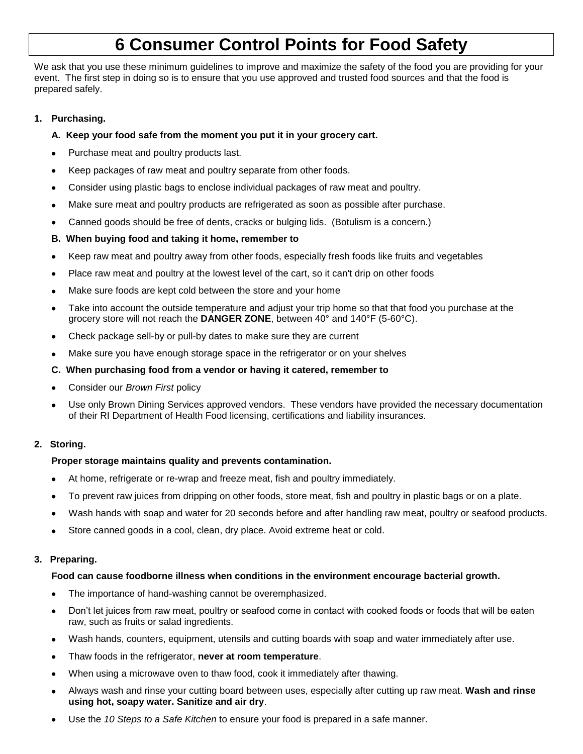# **6 Consumer Control Points for Food Safety**

We ask that you use these minimum guidelines to improve and maximize the safety of the food you are providing for your event. The first step in doing so is to ensure that you use approved and trusted food sources and that the food is prepared safely.

### **1. Purchasing.**

### **A. Keep your food safe from the moment you put it in your grocery cart.**

- Purchase meat and poultry products last.
- Keep packages of raw meat and poultry separate from other foods.
- Consider using plastic bags to enclose individual packages of raw meat and poultry.
- Make sure meat and poultry products are refrigerated as soon as possible after purchase.  $\bullet$
- Canned goods should be free of dents, cracks or bulging lids. (Botulism is a concern.)

### **B. When buying food and taking it home, remember to**

- Keep raw meat and poultry away from other foods, especially fresh foods like fruits and vegetables
- Place raw meat and poultry at the lowest level of the cart, so it can't drip on other foods
- Make sure foods are kept cold between the store and your home
- Take into account the outside temperature and adjust your trip home so that that food you purchase at the grocery store will not reach the **DANGER ZONE**, between 40° and 140°F (5-60°C).
- Check package sell-by or pull-by dates to make sure they are current
- Make sure you have enough storage space in the refrigerator or on your shelves

### **C. When purchasing food from a vendor or having it catered, remember to**

- Consider our *Brown First* policy
- Use only Brown Dining Services approved vendors. These vendors have provided the necessary documentation of their RI Department of Health Food licensing, certifications and liability insurances.

### **2. Storing.**

### **Proper storage maintains quality and prevents contamination.**

- At home, refrigerate or re-wrap and freeze meat, fish and poultry immediately.
- To prevent raw juices from dripping on other foods, store meat, fish and poultry in plastic bags or on a plate.
- Wash hands with soap and water for 20 seconds before and after handling raw meat, poultry or seafood products.
- Store canned goods in a cool, clean, dry place. Avoid extreme heat or cold.  $\bullet$

### **3. Preparing.**

### **Food can cause foodborne illness when conditions in the environment encourage bacterial growth.**

- The importance of hand-washing cannot be overemphasized.
- Don't let juices from raw meat, poultry or seafood come in contact with cooked foods or foods that will be eaten raw, such as fruits or salad ingredients.
- Wash hands, counters, equipment, utensils and cutting boards with soap and water immediately after use.
- Thaw foods in the refrigerator, **never at room temperature**.
- When using a microwave oven to thaw food, cook it immediately after thawing.
- Always wash and rinse your cutting board between uses, especially after cutting up raw meat. **Wash and rinse using hot, soapy water. Sanitize and air dry**.
- Use the *10 Steps to a Safe Kitchen* to ensure your food is prepared in a safe manner.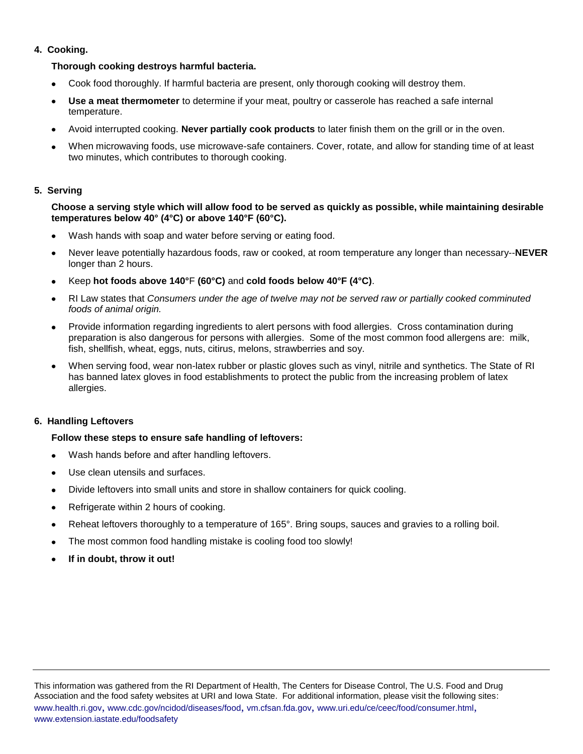### **4. Cooking.**

### **Thorough cooking destroys harmful bacteria.**

- Cook food thoroughly. If harmful bacteria are present, only thorough cooking will destroy them.
- **Use a meat thermometer** to determine if your meat, poultry or casserole has reached a safe internal temperature.
- Avoid interrupted cooking. **Never partially cook products** to later finish them on the grill or in the oven.
- When microwaving foods, use microwave-safe containers. Cover, rotate, and allow for standing time of at least two minutes, which contributes to thorough cooking.

### **5. Serving**

### **Choose a serving style which will allow food to be served as quickly as possible, while maintaining desirable temperatures below 40° (4°C) or above 140°F (60°C).**

- Wash hands with soap and water before serving or eating food.
- Never leave potentially hazardous foods, raw or cooked, at room temperature any longer than necessary--**NEVER** longer than 2 hours.
- Keep **hot foods above 140°**F **(60°C)** and **cold foods below 40°F (4°C)**.
- RI Law states that *Consumers under the age of twelve may not be served raw or partially cooked comminuted foods of animal origin.*
- Provide information regarding ingredients to alert persons with food allergies. Cross contamination during preparation is also dangerous for persons with allergies. Some of the most common food allergens are: milk, fish, shellfish, wheat, eggs, nuts, citirus, melons, strawberries and soy.
- When serving food, wear non-latex rubber or plastic gloves such as vinyl, nitrile and synthetics. The State of RI has banned latex gloves in food establishments to protect the public from the increasing problem of latex allergies.

### **6. Handling Leftovers**

### **Follow these steps to ensure safe handling of leftovers:**

- Wash hands before and after handling leftovers.
- Use clean utensils and surfaces.
- Divide leftovers into small units and store in shallow containers for quick cooling.
- Refrigerate within 2 hours of cooking.
- Reheat leftovers thoroughly to a temperature of 165°. Bring soups, sauces and gravies to a rolling boil.
- The most common food handling mistake is cooling food too slowly!
- **If in doubt, throw it out!**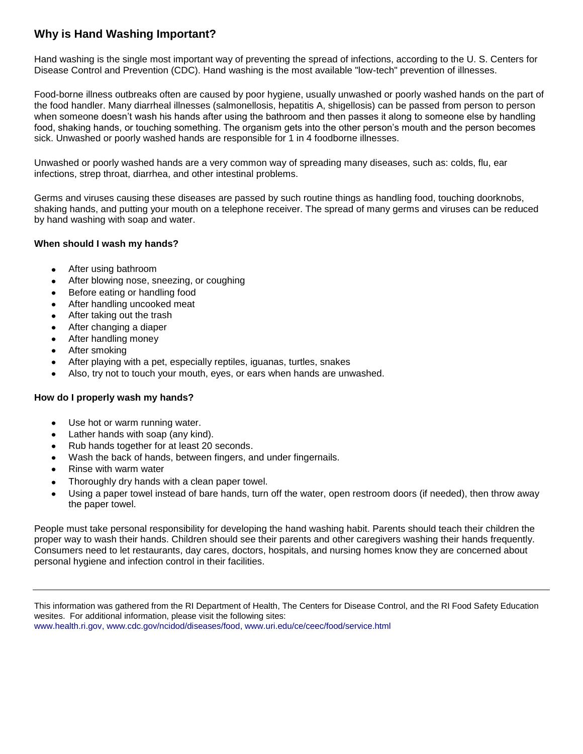### **Why is Hand Washing Important?**

Hand washing is the single most important way of preventing the spread of infections, according to the U. S. Centers for Disease Control and Prevention (CDC). Hand washing is the most available "low-tech" prevention of illnesses.

Food-borne illness outbreaks often are caused by poor hygiene, usually unwashed or poorly washed hands on the part of the food handler. Many diarrheal illnesses (salmonellosis, hepatitis A, shigellosis) can be passed from person to person when someone doesn't wash his hands after using the bathroom and then passes it along to someone else by handling food, shaking hands, or touching something. The organism gets into the other person's mouth and the person becomes sick. Unwashed or poorly washed hands are responsible for 1 in 4 foodborne illnesses.

Unwashed or poorly washed hands are a very common way of spreading many diseases, such as: colds, flu, ear infections, strep throat, diarrhea, and other intestinal problems.

Germs and viruses causing these diseases are passed by such routine things as handling food, touching doorknobs, shaking hands, and putting your mouth on a telephone receiver. The spread of many germs and viruses can be reduced by hand washing with soap and water.

### **When should I wash my hands?**

- After using bathroom  $\bullet$
- After blowing nose, sneezing, or coughing
- Before eating or handling food
- After handling uncooked meat
- After taking out the trash
- After changing a diaper
- After handling money
- After smoking
- After playing with a pet, especially reptiles, iguanas, turtles, snakes
- Also, try not to touch your mouth, eyes, or ears when hands are unwashed.

### **How do I properly wash my hands?**

- Use hot or warm running water.
- Lather hands with soap (any kind).
- Rub hands together for at least 20 seconds.
- Wash the back of hands, between fingers, and under fingernails.
- Rinse with warm water
- Thoroughly dry hands with a clean paper towel.
- Using a paper towel instead of bare hands, turn off the water, open restroom doors (if needed), then throw away the paper towel.

People must take personal responsibility for developing the hand washing habit. Parents should teach their children the proper way to wash their hands. Children should see their parents and other caregivers washing their hands frequently. Consumers need to let restaurants, day cares, doctors, hospitals, and nursing homes know they are concerned about personal hygiene and infection control in their facilities.

This information was gathered from the RI Department of Health, The Centers for Disease Control, and the RI Food Safety Education wesites. For additional information, please visit the following sites: [www.health.ri.gov,](http://www.health.ri.gov/) [www.cdc.gov/ncidod/diseases/food,](http://www.cdc.gov/ncidod/diseases/food) www.uri.edu/ce/ceec/food/service.html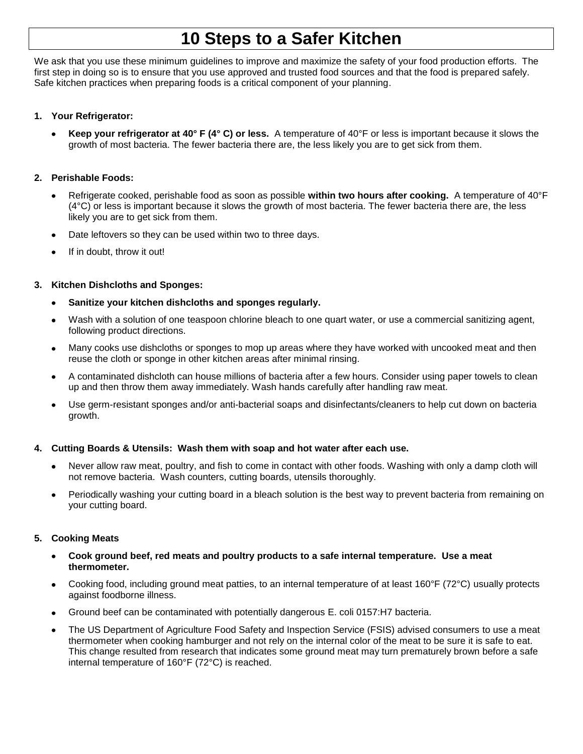## **10 Steps to a Safer Kitchen**

We ask that you use these minimum guidelines to improve and maximize the safety of your food production efforts. The first step in doing so is to ensure that you use approved and trusted food sources and that the food is prepared safely. Safe kitchen practices when preparing foods is a critical component of your planning.

### **1. Your Refrigerator:**

**Keep your refrigerator at 40° F (4° C) or less.** A temperature of 40°F or less is important because it slows the growth of most bacteria. The fewer bacteria there are, the less likely you are to get sick from them.

### **2. Perishable Foods:**

- Refrigerate cooked, perishable food as soon as possible **within two hours after cooking.** A temperature of 40°F (4°C) or less is important because it slows the growth of most bacteria. The fewer bacteria there are, the less likely you are to get sick from them.
- Date leftovers so they can be used within two to three days.
- If in doubt, throw it out!

### **3. Kitchen Dishcloths and Sponges:**

- **Sanitize your kitchen dishcloths and sponges regularly.**
- Wash with a solution of one teaspoon chlorine bleach to one quart water, or use a commercial sanitizing agent, following product directions.
- Many cooks use dishcloths or sponges to mop up areas where they have worked with uncooked meat and then reuse the cloth or sponge in other kitchen areas after minimal rinsing.
- A contaminated dishcloth can house millions of bacteria after a few hours. Consider using paper towels to clean up and then throw them away immediately. Wash hands carefully after handling raw meat.
- Use germ-resistant sponges and/or anti-bacterial soaps and disinfectants/cleaners to help cut down on bacteria growth.

### **4. Cutting Boards & Utensils: Wash them with soap and hot water after each use.**

- Never allow raw meat, poultry, and fish to come in contact with other foods. Washing with only a damp cloth will not remove bacteria. Wash counters, cutting boards, utensils thoroughly.
- Periodically washing your cutting board in a bleach solution is the best way to prevent bacteria from remaining on your cutting board.

### **5. Cooking Meats**

- **Cook ground beef, red meats and poultry products to a safe internal temperature. Use a meat thermometer.**
- Cooking food, including ground meat patties, to an internal temperature of at least 160°F (72°C) usually protects against foodborne illness.
- Ground beef can be contaminated with potentially dangerous [E. coli 0157:H7 b](http://www.extension.iastate.edu/foodsafety/pathogens/index.cfm?articleID=41&parent=37)acteria.
- The US Department of Agriculture Food Safety and Inspection Service (FSIS) advised consumers to [use a meat](http://www.fsis.usda.gov/oa/thermy/researchfs.htm)  [thermometer](http://www.fsis.usda.gov/oa/thermy/researchfs.htm) when cooking hamburger and not rely on the internal color of the meat to be sure it is safe to eat. This change resulted from research that indicates some ground meat may turn prematurely brown before a safe internal temperature of 160°F (72°C) is reached.